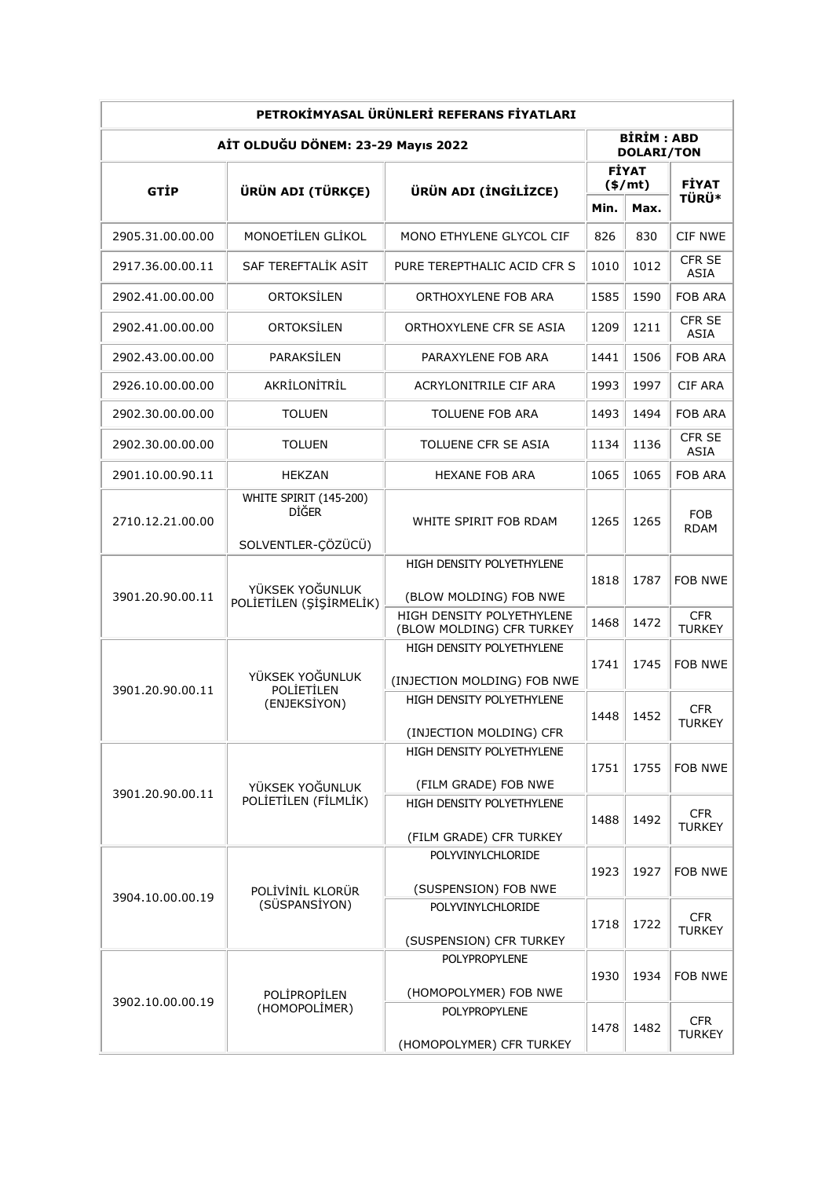| PETROKİMYASAL ÜRÜNLERİ REFERANS FİYATLARI |                                                                  |                                                          |                          |                                        |                              |  |  |  |  |
|-------------------------------------------|------------------------------------------------------------------|----------------------------------------------------------|--------------------------|----------------------------------------|------------------------------|--|--|--|--|
| AİT OLDUĞU DÖNEM: 23-29 Mayıs 2022        |                                                                  |                                                          |                          | <b>BİRİM: ABD</b><br><b>DOLARI/TON</b> |                              |  |  |  |  |
| <b>GTIP</b>                               | ÜRÜN ADI (TÜRKÇE)                                                | ÜRÜN ADI (İNGİLİZCE)                                     | <b>FİYAT</b><br>$(*/mt)$ |                                        |                              |  |  |  |  |
|                                           |                                                                  |                                                          | Min.                     | Max.                                   | <b>FİYAT</b><br>TÜRÜ*        |  |  |  |  |
| 2905.31.00.00.00                          | MONOETİLEN GLİKOL                                                | MONO ETHYLENE GLYCOL CIF                                 | 826                      | 830                                    | <b>CIF NWE</b>               |  |  |  |  |
| 2917.36.00.00.11                          | SAF TEREFTALIK ASIT                                              | PURE TEREPTHALIC ACID CFR S                              | 1010                     | 1012                                   | <b>CFR SE</b><br>ASIA        |  |  |  |  |
| 2902.41.00.00.00                          | ORTOKSİLEN                                                       | ORTHOXYLENE FOB ARA                                      | 1585                     | 1590                                   | FOB ARA                      |  |  |  |  |
| 2902.41.00.00.00                          | ORTOKSILEN                                                       | ORTHOXYLENE CFR SE ASIA                                  | 1209                     | 1211                                   | <b>CFR SE</b><br><b>ASIA</b> |  |  |  |  |
| 2902.43.00.00.00                          | PARAKSİLEN                                                       | PARAXYLENE FOB ARA                                       | 1441                     | 1506                                   | FOB ARA                      |  |  |  |  |
| 2926.10.00.00.00                          | AKRİLONİTRİL                                                     | <b>ACRYLONITRILE CIF ARA</b>                             | 1993                     | 1997                                   | CIF ARA                      |  |  |  |  |
| 2902.30.00.00.00                          | <b>TOLUEN</b>                                                    | TOLUENE FOB ARA                                          | 1493                     | 1494                                   | FOB ARA                      |  |  |  |  |
| 2902.30.00.00.00                          | <b>TOLUEN</b>                                                    | TOLUENE CFR SE ASIA                                      | 1134                     | 1136                                   | <b>CFR SE</b><br>ASIA        |  |  |  |  |
| 2901.10.00.90.11                          | <b>HEKZAN</b>                                                    | <b>HEXANE FOB ARA</b>                                    | 1065                     | 1065                                   | FOB ARA                      |  |  |  |  |
| 2710.12.21.00.00                          | WHITE SPIRIT (145-200)<br><b>DIĞER</b>                           | WHITE SPIRIT FOB RDAM                                    | 1265                     | 1265                                   | FOB.<br><b>RDAM</b>          |  |  |  |  |
| 3901.20.90.00.11                          | SOLVENTLER-ÇÖZÜCÜ)<br>YÜKSEK YOĞUNLUK<br>POLİETİLEN (ŞİŞİRMELİK) | HIGH DENSITY POLYETHYLENE                                | 1818                     | 1787                                   | <b>FOB NWE</b>               |  |  |  |  |
|                                           |                                                                  | (BLOW MOLDING) FOB NWE                                   |                          |                                        |                              |  |  |  |  |
|                                           |                                                                  | HIGH DENSITY POLYETHYLENE<br>(BLOW MOLDING) CFR TURKEY   | 1468                     | 1472                                   | <b>CFR</b><br><b>TURKEY</b>  |  |  |  |  |
| 3901.20.90.00.11                          | YÜKSEK YOĞUNLUK<br><b>POLİETİLEN</b><br>(ENJEKSIYON)             | HIGH DENSITY POLYETHYLENE                                | 1741                     | 1745                                   | FOB NWE                      |  |  |  |  |
|                                           |                                                                  | (INJECTION MOLDING) FOB NWE<br>HIGH DENSITY POLYETHYLENE | 1448                     | 1452                                   | <b>CFR</b><br>TURKEY         |  |  |  |  |
|                                           |                                                                  | (INJECTION MOLDING) CFR                                  |                          |                                        |                              |  |  |  |  |
| 3901.20.90.00.11                          | YÜKSEK YOĞUNLUK<br>POLİETİLEN (FİLMLİK)                          | HIGH DENSITY POLYETHYLENE                                | 1751                     | 1755                                   | FOB NWE                      |  |  |  |  |
|                                           |                                                                  | (FILM GRADE) FOB NWE                                     |                          |                                        |                              |  |  |  |  |
|                                           |                                                                  | HIGH DENSITY POLYETHYLENE                                | 1488                     | 1492                                   | <b>CFR</b>                   |  |  |  |  |
|                                           |                                                                  |                                                          |                          |                                        | <b>TURKEY</b>                |  |  |  |  |
|                                           |                                                                  | (FILM GRADE) CFR TURKEY<br>POLYVINYLCHLORIDE             |                          |                                        |                              |  |  |  |  |
| 3904.10.00.00.19                          | POLİVİNİL KLORÜR<br>(SÜSPANSİYON)                                |                                                          | 1923<br>1718             | 1927                                   | FOB NWE                      |  |  |  |  |
|                                           |                                                                  | (SUSPENSION) FOB NWE<br>POLYVINYLCHLORIDE                |                          |                                        |                              |  |  |  |  |
|                                           |                                                                  |                                                          |                          | 1722                                   | <b>CFR</b><br><b>TURKEY</b>  |  |  |  |  |
| 3902.10.00.00.19                          | POLİPROPİLEN<br>(HOMOPOLİMER)                                    | (SUSPENSION) CFR TURKEY<br>POLYPROPYLENE                 | 1930                     | 1934                                   |                              |  |  |  |  |
|                                           |                                                                  |                                                          |                          |                                        | FOB NWE                      |  |  |  |  |
|                                           |                                                                  | (HOMOPOLYMER) FOB NWE<br>POLYPROPYLENE                   |                          | 1482                                   |                              |  |  |  |  |
|                                           |                                                                  | (HOMOPOLYMER) CFR TURKEY                                 | 1478                     |                                        | CFR.<br><b>TURKEY</b>        |  |  |  |  |